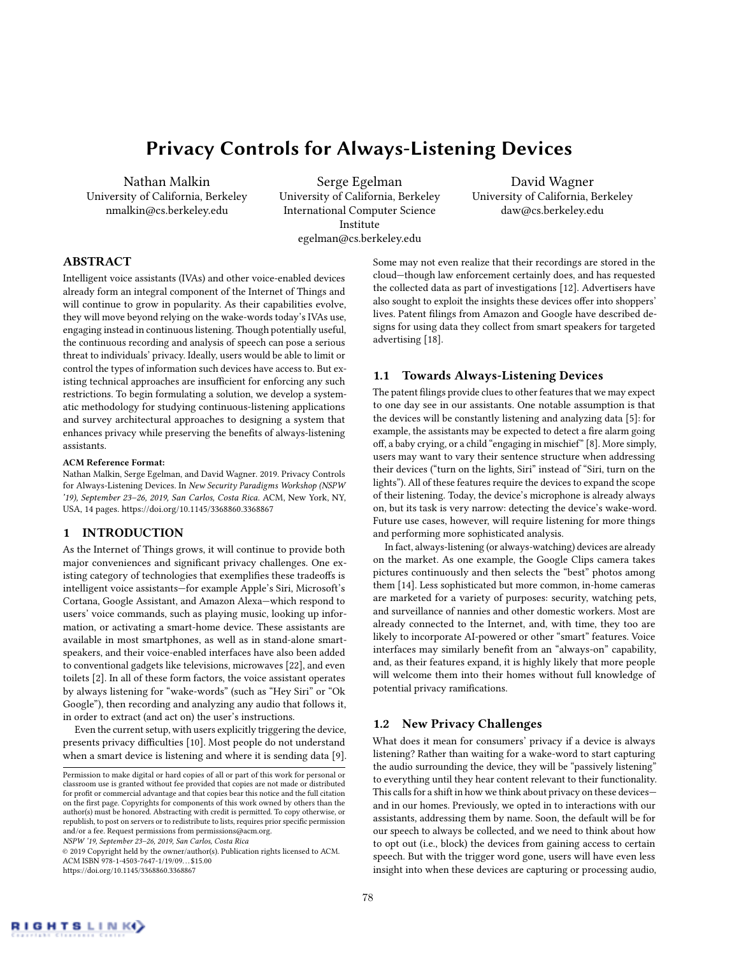# Privacy Controls for Always-Listening Devices

Nathan Malkin University of California, Berkeley nmalkin@cs.berkeley.edu

Serge Egelman University of California, Berkeley International Computer Science Institute egelman@cs.berkeley.edu

David Wagner University of California, Berkeley daw@cs.berkeley.edu

### ABSTRACT

Intelligent voice assistants (IVAs) and other voice-enabled devices already form an integral component of the Internet of Things and will continue to grow in popularity. As their capabilities evolve, they will move beyond relying on the wake-words today's IVAs use, engaging instead in continuous listening. Though potentially useful, the continuous recording and analysis of speech can pose a serious threat to individuals' privacy. Ideally, users would be able to limit or control the types of information such devices have access to. But existing technical approaches are insufficient for enforcing any such restrictions. To begin formulating a solution, we develop a systematic methodology for studying continuous-listening applications and survey architectural approaches to designing a system that enhances privacy while preserving the benefits of always-listening assistants.

#### ACM Reference Format:

Nathan Malkin, Serge Egelman, and David Wagner. 2019. Privacy Controls for Always-Listening Devices. In *New Security Paradigms Workshop (NSPW '19), September 23–26, 2019, San Carlos, Costa Rica.* ACM, New York, NY, USA, 14 pages. https://doi.org/10.1145/3368860.3368867

#### 1 INTRODUCTION

As the Internet of Things grows, it will continue to provide both major conveniences and significant privacy challenges. One existing category of technologies that exemplifies these tradeoffs is intelligent voice assistants—for example Apple's Siri, Microsoft's Cortana, Google Assistant, and Amazon Alexa—which respond to users' voice commands, such as playing music, looking up information, or activating a smart-home device. These assistants are available in most smartphones, as well as in stand-alone smartspeakers, and their voice-enabled interfaces have also been added to conventional gadgets like televisions, microwaves [22], and even toilets [2]. In all of these form factors, the voice assistant operates by always listening for "wake-words" (such as "Hey Siri" or "Ok Google"), then recording and analyzing any audio that follows it, in order to extract (and act on) the user's instructions.

Even the current setup, with users explicitly triggering the device, presents privacy difficulties [10]. Most people do not understand when a smart device is listening and where it is sending data [9].

*NSPW '19, September 23–26, 2019, San Carlos, Costa Rica*

© 2019 Copyright held by the owner/author(s). Publication rights licensed to ACM. ACM ISBN 978-1-4503-7647-1/19/09... \$15.00 https://doi.org/10.1145/3368860.3368867

Some may not even realize that their recordings are stored in the cloud—though law enforcement certainly does, and has requested the collected data as part of investigations [12]. Advertisers have also sought to exploit the insights these devices offer into shoppers' lives. Patent filings from Amazon and Google have described designs for using data they collect from smart speakers for targeted advertising [18].

#### 1.1 Towards Always-Listening Devices

The patent filings provide clues to other features that we may expect to one day see in our assistants. One notable assumption is that the devices will be constantly listening and analyzing data [5]: for example, the assistants may be expected to detect a fire alarm going off, a baby crying, or a child "engaging in mischief" [8]. More simply, users may want to vary their sentence structure when addressing their devices ("turn on the lights, Siri" instead of "Siri, turn on the lights"). All of these features require the devices to expand the scope of their listening. Today, the device's microphone is already always on, but its task is very narrow: detecting the device's wake-word. Future use cases, however, will require listening for more things and performing more sophisticated analysis.

In fact, always-listening (or always-watching) devices are already on the market. As one example, the Google Clips camera takes pictures continuously and then selects the "best" photos among them [14]. Less sophisticated but more common, in-home cameras are marketed for a variety of purposes: security, watching pets, and surveillance of nannies and other domestic workers. Most are already connected to the Internet, and, with time, they too are likely to incorporate AI-powered or other "smart" features. Voice interfaces may similarly benefit from an "always-on" capability, and, as their features expand, it is highly likely that more people will welcome them into their homes without full knowledge of potential privacy ramifications.

### 1.2 New Privacy Challenges

What does it mean for consumers' privacy if a device is always listening? Rather than waiting for a wake-word to start capturing the audio surrounding the device, they will be "passively listening" to everything until they hear content relevant to their functionality. This calls for a shift in how we think about privacy on these devices and in our homes. Previously, we opted in to interactions with our assistants, addressing them by name. Soon, the default will be for our speech to always be collected, and we need to think about how to opt out (i.e., block) the devices from gaining access to certain speech. But with the trigger word gone, users will have even less insight into when these devices are capturing or processing audio,



Permission to make digital or hard copies of all or part of this work for personal or classroom use is granted without fee provided that copies are not made or distributed<br>for profit or commercial advantage and that copies bear this notice and the full citation on the first page. Copyrights for components of this work owned by others than the author(s) must be honored. Abstracting with credit is permitted. To copy otherwise, or republish, to post on servers or to redistribute to lists, requires prior specific permission and/or a fee. Request permissions from permissions@acm.org.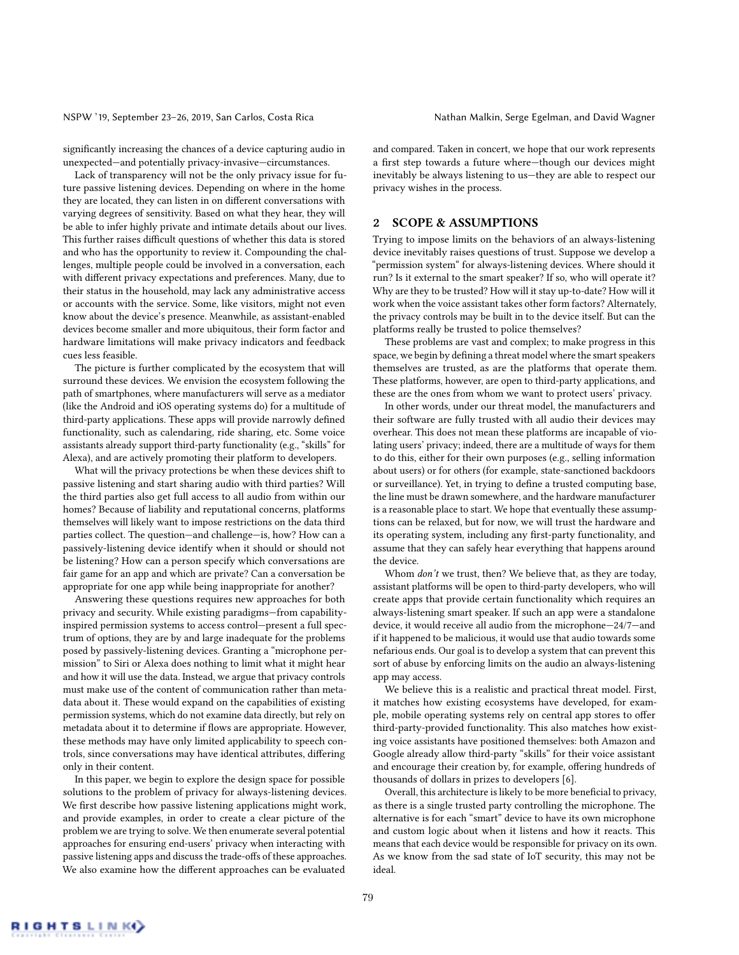significantly increasing the chances of a device capturing audio in unexpected—and potentially privacy-invasive—circumstances.

Lack of transparency will not be the only privacy issue for future passive listening devices. Depending on where in the home they are located, they can listen in on different conversations with varying degrees of sensitivity. Based on what they hear, they will be able to infer highly private and intimate details about our lives. This further raises difficult questions of whether this data is stored and who has the opportunity to review it. Compounding the challenges, multiple people could be involved in a conversation, each with different privacy expectations and preferences. Many, due to their status in the household, may lack any administrative access or accounts with the service. Some, like visitors, might not even know about the device's presence. Meanwhile, as assistant-enabled devices become smaller and more ubiquitous, their form factor and hardware limitations will make privacy indicators and feedback cues less feasible.

The picture is further complicated by the ecosystem that will surround these devices. We envision the ecosystem following the path of smartphones, where manufacturers will serve as a mediator (like the Android and iOS operating systems do) for a multitude of third-party applications. These apps will provide narrowly defined functionality, such as calendaring, ride sharing, etc. Some voice assistants already support third-party functionality (e.g., "skills" for Alexa), and are actively promoting their platform to developers.

What will the privacy protections be when these devices shift to passive listening and start sharing audio with third parties? Will the third parties also get full access to all audio from within our homes? Because of liability and reputational concerns, platforms themselves will likely want to impose restrictions on the data third parties collect. The question—and challenge—is, how? How can a passively-listening device identify when it should or should not be listening? How can a person specify which conversations are fair game for an app and which are private? Can a conversation be appropriate for one app while being inappropriate for another?

Answering these questions requires new approaches for both privacy and security. While existing paradigms—from capabilityinspired permission systems to access control—present a full spectrum of options, they are by and large inadequate for the problems posed by passively-listening devices. Granting a "microphone permission" to Siri or Alexa does nothing to limit what it might hear and how it will use the data. Instead, we argue that privacy controls must make use of the content of communication rather than metadata about it. These would expand on the capabilities of existing permission systems, which do not examine data directly, but rely on metadata about it to determine if flows are appropriate. However, these methods may have only limited applicability to speech controls, since conversations may have identical attributes, differing only in their content.

In this paper, we begin to explore the design space for possible solutions to the problem of privacy for always-listening devices. We first describe how passive listening applications might work, and provide examples, in order to create a clear picture of the problem we are trying to solve. We then enumerate several potential approaches for ensuring end-users' privacy when interacting with passive listening apps and discuss the trade-offs of these approaches. We also examine how the different approaches can be evaluated

and compared. Taken in concert, we hope that our work represents a first step towards a future where-though our devices might inevitably be always listening to us—they are able to respect our privacy wishes in the process.

#### 2 SCOPE & ASSUMPTIONS

Trying to impose limits on the behaviors of an always-listening device inevitably raises questions of trust. Suppose we develop a "permission system" for always-listening devices. Where should it run? Is it external to the smart speaker? If so, who will operate it? Why are they to be trusted? How will it stay up-to-date? How will it work when the voice assistant takes other form factors? Alternately, the privacy controls may be built in to the device itself. But can the platforms really be trusted to police themselves?

These problems are vast and complex; to make progress in this space, we begin by defining a threat model where the smart speakers themselves are trusted, as are the platforms that operate them. These platforms, however, are open to third-party applications, and these are the ones from whom we want to protect users' privacy.

In other words, under our threat model, the manufacturers and their software are fully trusted with all audio their devices may overhear. This does not mean these platforms are incapable of violating users' privacy; indeed, there are a multitude of ways for them to do this, either for their own purposes (e.g., selling information about users) or for others (for example, state-sanctioned backdoors or surveillance). Yet, in trying to define a trusted computing base, the line must be drawn somewhere, and the hardware manufacturer is a reasonable place to start. We hope that eventually these assumptions can be relaxed, but for now, we will trust the hardware and its operating system, including any first-party functionality, and assume that they can safely hear everything that happens around the device.

Whom *don't* we trust, then? We believe that, as they are today, assistant platforms will be open to third-party developers, who will create apps that provide certain functionality which requires an always-listening smart speaker. If such an app were a standalone device, it would receive all audio from the microphone—24/7—and if it happened to be malicious, it would use that audio towards some nefarious ends. Our goal is to develop a system that can prevent this sort of abuse by enforcing limits on the audio an always-listening app may access.

We believe this is a realistic and practical threat model. First, it matches how existing ecosystems have developed, for example, mobile operating systems rely on central app stores to offer third-party-provided functionality. This also matches how existing voice assistants have positioned themselves: both Amazon and Google already allow third-party "skills" for their voice assistant and encourage their creation by, for example, offering hundreds of thousands of dollars in prizes to developers [6].

Overall, this architecture is likely to be more beneficial to privacy, as there is a single trusted party controlling the microphone. The alternative is for each "smart" device to have its own microphone and custom logic about when it listens and how it reacts. This means that each device would be responsible for privacy on its own. As we know from the sad state of IoT security, this may not be ideal.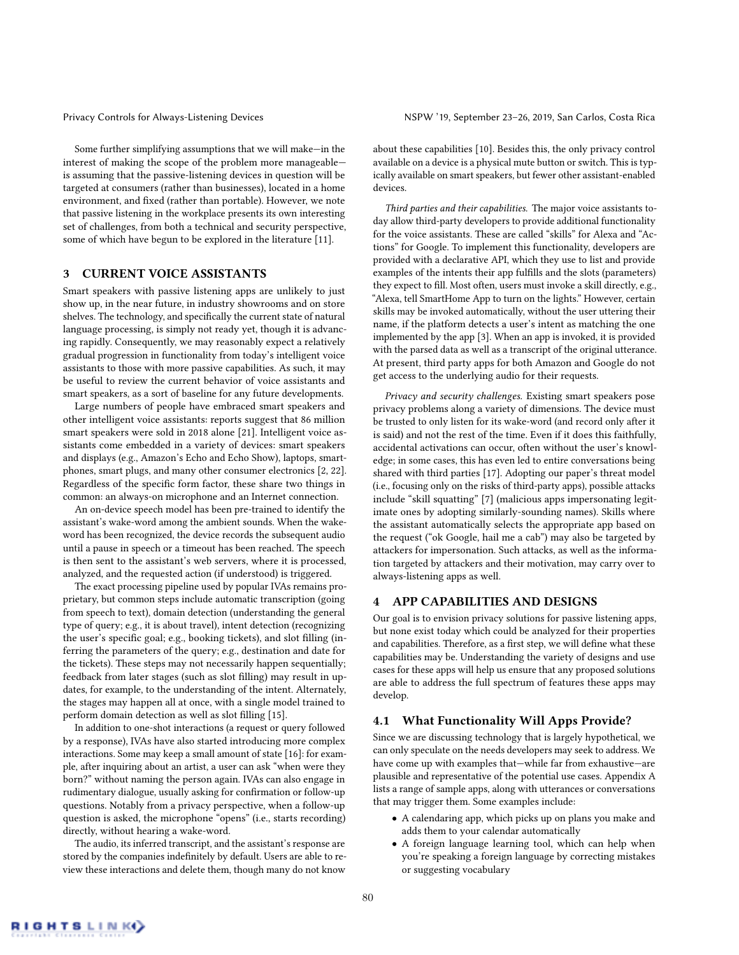Some further simplifying assumptions that we will make—in the interest of making the scope of the problem more manageable is assuming that the passive-listening devices in question will be targeted at consumers (rather than businesses), located in a home environment, and fixed (rather than portable). However, we note that passive listening in the workplace presents its own interesting set of challenges, from both a technical and security perspective, some of which have begun to be explored in the literature [11].

#### 3 CURRENT VOICE ASSISTANTS

Smart speakers with passive listening apps are unlikely to just show up, in the near future, in industry showrooms and on store shelves. The technology, and specifically the current state of natural language processing, is simply not ready yet, though it is advancing rapidly. Consequently, we may reasonably expect a relatively gradual progression in functionality from today's intelligent voice assistants to those with more passive capabilities. As such, it may be useful to review the current behavior of voice assistants and smart speakers, as a sort of baseline for any future developments.

Large numbers of people have embraced smart speakers and other intelligent voice assistants: reports suggest that 86 million smart speakers were sold in 2018 alone [21]. Intelligent voice assistants come embedded in a variety of devices: smart speakers and displays (e.g., Amazon's Echo and Echo Show), laptops, smartphones, smart plugs, and many other consumer electronics [2, 22]. Regardless of the specific form factor, these share two things in common: an always-on microphone and an Internet connection.

An on-device speech model has been pre-trained to identify the assistant's wake-word among the ambient sounds. When the wakeword has been recognized, the device records the subsequent audio until a pause in speech or a timeout has been reached. The speech is then sent to the assistant's web servers, where it is processed, analyzed, and the requested action (if understood) is triggered.

The exact processing pipeline used by popular IVAs remains proprietary, but common steps include automatic transcription (going from speech to text), domain detection (understanding the general type of query; e.g., it is about travel), intent detection (recognizing the user's specific goal; e.g., booking tickets), and slot filling (inferring the parameters of the query; e.g., destination and date for the tickets). These steps may not necessarily happen sequentially; feedback from later stages (such as slot filling) may result in updates, for example, to the understanding of the intent. Alternately, the stages may happen all at once, with a single model trained to perform domain detection as well as slot filling [15].

In addition to one-shot interactions (a request or query followed by a response), IVAs have also started introducing more complex interactions. Some may keep a small amount of state [16]: for example, after inquiring about an artist, a user can ask "when were they born?" without naming the person again. IVAs can also engage in rudimentary dialogue, usually asking for confirmation or follow-up questions. Notably from a privacy perspective, when a follow-up question is asked, the microphone "opens" (i.e., starts recording) directly, without hearing a wake-word.

The audio, its inferred transcript, and the assistant's response are stored by the companies indefinitely by default. Users are able to review these interactions and delete them, though many do not know

about these capabilities [10]. Besides this, the only privacy control available on a device is a physical mute button or switch. This is typically available on smart speakers, but fewer other assistant-enabled devices.

*Third parties and their capabilities.* The major voice assistants today allow third-party developers to provide additional functionality for the voice assistants. These are called "skills" for Alexa and "Actions" for Google. To implement this functionality, developers are provided with a declarative API, which they use to list and provide examples of the intents their app fulfills and the slots (parameters) they expect to fill. Most often, users must invoke a skill directly, e.g., "Alexa, tell SmartHome App to turn on the lights." However, certain skills may be invoked automatically, without the user uttering their name, if the platform detects a user's intent as matching the one implemented by the app [3]. When an app is invoked, it is provided with the parsed data as well as a transcript of the original utterance. At present, third party apps for both Amazon and Google do not get access to the underlying audio for their requests.

*Privacy and security challenges.* Existing smart speakers pose privacy problems along a variety of dimensions. The device must be trusted to only listen for its wake-word (and record only after it is said) and not the rest of the time. Even if it does this faithfully, accidental activations can occur, often without the user's knowledge; in some cases, this has even led to entire conversations being shared with third parties [17]. Adopting our paper's threat model (i.e., focusing only on the risks of third-party apps), possible attacks include "skill squatting" [7] (malicious apps impersonating legitimate ones by adopting similarly-sounding names). Skills where the assistant automatically selects the appropriate app based on the request ("ok Google, hail me a cab") may also be targeted by attackers for impersonation. Such attacks, as well as the information targeted by attackers and their motivation, may carry over to always-listening apps as well.

#### 4 APP CAPABILITIES AND DESIGNS

Our goal is to envision privacy solutions for passive listening apps, but none exist today which could be analyzed for their properties and capabilities. Therefore, as a first step, we will define what these capabilities may be. Understanding the variety of designs and use cases for these apps will help us ensure that any proposed solutions are able to address the full spectrum of features these apps may develop.

#### 4.1 What Functionality Will Apps Provide?

Since we are discussing technology that is largely hypothetical, we can only speculate on the needs developers may seek to address. We have come up with examples that—while far from exhaustive—are plausible and representative of the potential use cases. Appendix A lists a range of sample apps, along with utterances or conversations that may trigger them. Some examples include:

- A calendaring app, which picks up on plans you make and adds them to your calendar automatically
- A foreign language learning tool, which can help when you're speaking a foreign language by correcting mistakes or suggesting vocabulary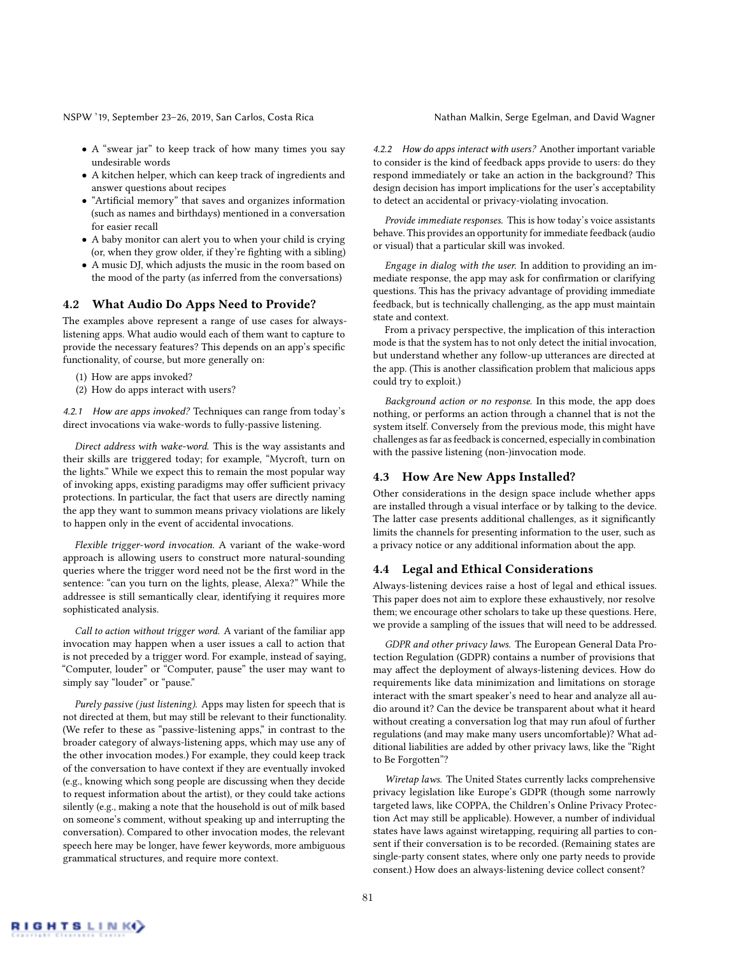- A "swear jar" to keep track of how many times you say undesirable words
- A kitchen helper, which can keep track of ingredients and answer questions about recipes
- "Artificial memory" that saves and organizes information (such as names and birthdays) mentioned in a conversation for easier recall
- A baby monitor can alert you to when your child is crying (or, when they grow older, if they're fighting with a sibling)
- A music DJ, which adjusts the music in the room based on the mood of the party (as inferred from the conversations)

#### 4.2 What Audio Do Apps Need to Provide?

The examples above represent a range of use cases for alwayslistening apps. What audio would each of them want to capture to provide the necessary features? This depends on an app's specific functionality, of course, but more generally on:

- (1) How are apps invoked?
- (2) How do apps interact with users?

*4.2.1 How are apps invoked?* Techniques can range from today's direct invocations via wake-words to fully-passive listening.

*Direct address with wake-word.* This is the way assistants and their skills are triggered today; for example, "Mycroft, turn on the lights." While we expect this to remain the most popular way of invoking apps, existing paradigms may offer sufficient privacy protections. In particular, the fact that users are directly naming the app they want to summon means privacy violations are likely to happen only in the event of accidental invocations.

*Flexible trigger-word invocation.* A variant of the wake-word approach is allowing users to construct more natural-sounding queries where the trigger word need not be the first word in the sentence: "can you turn on the lights, please, Alexa?" While the addressee is still semantically clear, identifying it requires more sophisticated analysis.

*Call to action without trigger word.* A variant of the familiar app invocation may happen when a user issues a call to action that is not preceded by a trigger word. For example, instead of saying, "Computer, louder" or "Computer, pause" the user may want to simply say "louder" or "pause."

*Purely passive (just listening).* Apps may listen for speech that is not directed at them, but may still be relevant to their functionality. (We refer to these as "passive-listening apps," in contrast to the broader category of always-listening apps, which may use any of the other invocation modes.) For example, they could keep track of the conversation to have context if they are eventually invoked (e.g., knowing which song people are discussing when they decide to request information about the artist), or they could take actions silently (e.g., making a note that the household is out of milk based on someone's comment, without speaking up and interrupting the conversation). Compared to other invocation modes, the relevant speech here may be longer, have fewer keywords, more ambiguous grammatical structures, and require more context.

*4.2.2 How do apps interact with users?* Another important variable to consider is the kind of feedback apps provide to users: do they respond immediately or take an action in the background? This design decision has import implications for the user's acceptability to detect an accidental or privacy-violating invocation.

*Provide immediate responses.* This is how today's voice assistants behave. This provides an opportunity for immediate feedback (audio or visual) that a particular skill was invoked.

*Engage in dialog with the user.* In addition to providing an immediate response, the app may ask for confirmation or clarifying questions. This has the privacy advantage of providing immediate feedback, but is technically challenging, as the app must maintain state and context.

From a privacy perspective, the implication of this interaction mode is that the system has to not only detect the initial invocation, but understand whether any follow-up utterances are directed at the app. (This is another classification problem that malicious apps could try to exploit.)

*Background action or no response.* In this mode, the app does nothing, or performs an action through a channel that is not the system itself. Conversely from the previous mode, this might have challenges as far as feedback is concerned, especially in combination with the passive listening (non-)invocation mode.

#### 4.3 How Are New Apps Installed?

Other considerations in the design space include whether apps are installed through a visual interface or by talking to the device. The latter case presents additional challenges, as it significantly limits the channels for presenting information to the user, such as a privacy notice or any additional information about the app.

#### 4.4 Legal and Ethical Considerations

Always-listening devices raise a host of legal and ethical issues. This paper does not aim to explore these exhaustively, nor resolve them; we encourage other scholars to take up these questions. Here, we provide a sampling of the issues that will need to be addressed.

*GDPR and other privacy laws.* The European General Data Protection Regulation (GDPR) contains a number of provisions that may affect the deployment of always-listening devices. How do requirements like data minimization and limitations on storage interact with the smart speaker's need to hear and analyze all audio around it? Can the device be transparent about what it heard without creating a conversation log that may run afoul of further regulations (and may make many users uncomfortable)? What additional liabilities are added by other privacy laws, like the "Right to Be Forgotten"?

*Wiretap laws.* The United States currently lacks comprehensive privacy legislation like Europe's GDPR (though some narrowly targeted laws, like COPPA, the Children's Online Privacy Protection Act may still be applicable). However, a number of individual states have laws against wiretapping, requiring all parties to consent if their conversation is to be recorded. (Remaining states are single-party consent states, where only one party needs to provide consent.) How does an always-listening device collect consent?

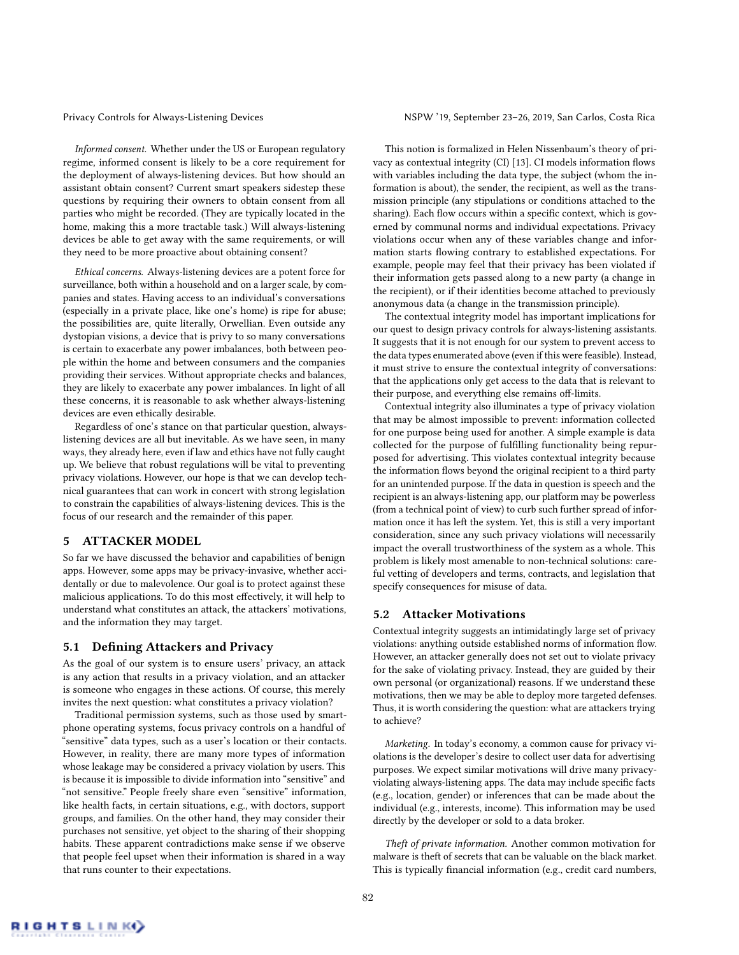*Informed consent.* Whether under the US or European regulatory regime, informed consent is likely to be a core requirement for the deployment of always-listening devices. But how should an assistant obtain consent? Current smart speakers sidestep these questions by requiring their owners to obtain consent from all parties who might be recorded. (They are typically located in the home, making this a more tractable task.) Will always-listening devices be able to get away with the same requirements, or will they need to be more proactive about obtaining consent?

*Ethical concerns.* Always-listening devices are a potent force for surveillance, both within a household and on a larger scale, by companies and states. Having access to an individual's conversations (especially in a private place, like one's home) is ripe for abuse; the possibilities are, quite literally, Orwellian. Even outside any dystopian visions, a device that is privy to so many conversations is certain to exacerbate any power imbalances, both between people within the home and between consumers and the companies providing their services. Without appropriate checks and balances, they are likely to exacerbate any power imbalances. In light of all these concerns, it is reasonable to ask whether always-listening devices are even ethically desirable.

Regardless of one's stance on that particular question, alwayslistening devices are all but inevitable. As we have seen, in many ways, they already here, even if law and ethics have not fully caught up. We believe that robust regulations will be vital to preventing privacy violations. However, our hope is that we can develop technical guarantees that can work in concert with strong legislation to constrain the capabilities of always-listening devices. This is the focus of our research and the remainder of this paper.

#### 5 ATTACKER MODEL

So far we have discussed the behavior and capabilities of benign apps. However, some apps may be privacy-invasive, whether accidentally or due to malevolence. Our goal is to protect against these malicious applications. To do this most effectively, it will help to understand what constitutes an attack, the attackers' motivations, and the information they may target.

#### 5.1 Defining Attackers and Privacy

As the goal of our system is to ensure users' privacy, an attack is any action that results in a privacy violation, and an attacker is someone who engages in these actions. Of course, this merely invites the next question: what constitutes a privacy violation?

Traditional permission systems, such as those used by smartphone operating systems, focus privacy controls on a handful of "sensitive" data types, such as a user's location or their contacts. However, in reality, there are many more types of information whose leakage may be considered a privacy violation by users. This is because it is impossible to divide information into "sensitive" and "not sensitive." People freely share even "sensitive" information, like health facts, in certain situations, e.g., with doctors, support groups, and families. On the other hand, they may consider their purchases not sensitive, yet object to the sharing of their shopping habits. These apparent contradictions make sense if we observe that people feel upset when their information is shared in a way that runs counter to their expectations.

Privacy Controls for Always-Listening Devices NSPW '19, September 23-26, 2019, San Carlos, Costa Rica

This notion is formalized in Helen Nissenbaum's theory of privacy as contextual integrity (CI) [13]. CI models information flows with variables including the data type, the subject (whom the information is about), the sender, the recipient, as well as the transmission principle (any stipulations or conditions attached to the sharing). Each flow occurs within a specific context, which is governed by communal norms and individual expectations. Privacy violations occur when any of these variables change and information starts flowing contrary to established expectations. For example, people may feel that their privacy has been violated if their information gets passed along to a new party (a change in the recipient), or if their identities become attached to previously anonymous data (a change in the transmission principle).

The contextual integrity model has important implications for our quest to design privacy controls for always-listening assistants. It suggests that it is not enough for our system to prevent access to the data types enumerated above (even if this were feasible). Instead, it must strive to ensure the contextual integrity of conversations: that the applications only get access to the data that is relevant to their purpose, and everything else remains off-limits.

Contextual integrity also illuminates a type of privacy violation that may be almost impossible to prevent: information collected for one purpose being used for another. A simple example is data collected for the purpose of fulfilling functionality being repurposed for advertising. This violates contextual integrity because the information flows beyond the original recipient to a third party for an unintended purpose. If the data in question is speech and the recipient is an always-listening app, our platform may be powerless (from a technical point of view) to curb such further spread of information once it has left the system. Yet, this is still a very important consideration, since any such privacy violations will necessarily impact the overall trustworthiness of the system as a whole. This problem is likely most amenable to non-technical solutions: careful vetting of developers and terms, contracts, and legislation that specify consequences for misuse of data.

#### 5.2 Attacker Motivations

Contextual integrity suggests an intimidatingly large set of privacy violations: anything outside established norms of information flow. However, an attacker generally does not set out to violate privacy for the sake of violating privacy. Instead, they are guided by their own personal (or organizational) reasons. If we understand these motivations, then we may be able to deploy more targeted defenses. Thus, it is worth considering the question: what are attackers trying to achieve?

*Marketing.* In today's economy, a common cause for privacy violations is the developer's desire to collect user data for advertising purposes. We expect similar motivations will drive many privacyviolating always-listening apps. The data may include specific facts (e.g., location, gender) or inferences that can be made about the individual (e.g., interests, income). This information may be used directly by the developer or sold to a data broker.

*Theft of private information.* Another common motivation for malware is theft of secrets that can be valuable on the black market. This is typically financial information (e.g., credit card numbers,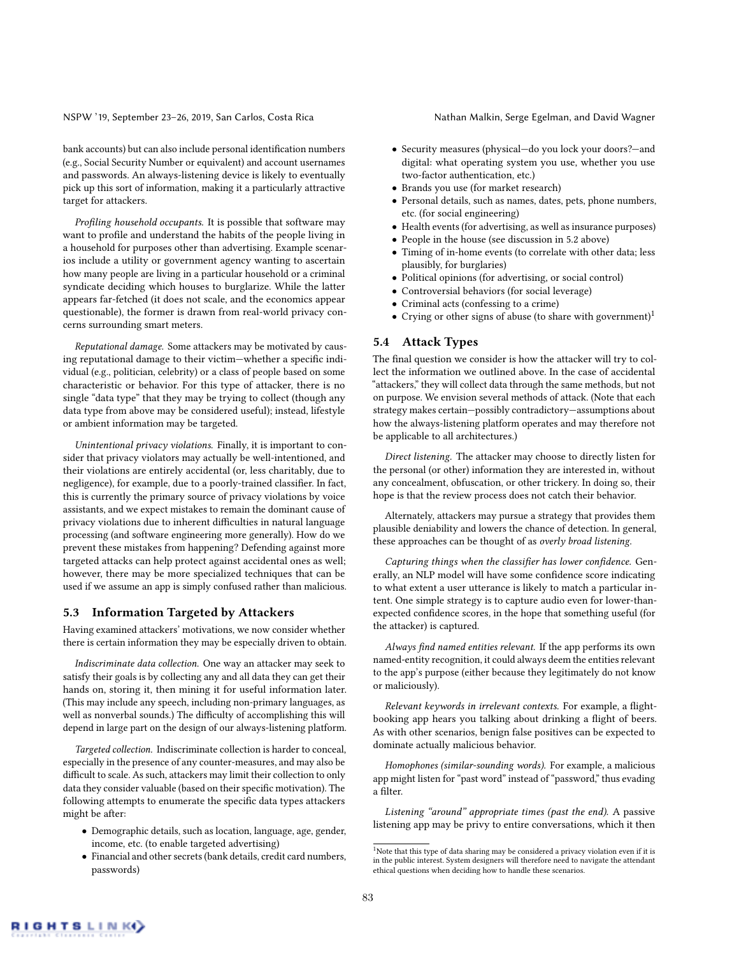bank accounts) but can also include personal identification numbers (e.g., Social Security Number or equivalent) and account usernames and passwords. An always-listening device is likely to eventually pick up this sort of information, making it a particularly attractive target for attackers.

*Profiling household occupants.* It is possible that software may want to profile and understand the habits of the people living in a household for purposes other than advertising. Example scenarios include a utility or government agency wanting to ascertain how many people are living in a particular household or a criminal syndicate deciding which houses to burglarize. While the latter appears far-fetched (it does not scale, and the economics appear questionable), the former is drawn from real-world privacy concerns surrounding smart meters.

*Reputational damage.* Some attackers may be motivated by causing reputational damage to their victim-whether a specific individual (e.g., politician, celebrity) or a class of people based on some characteristic or behavior. For this type of attacker, there is no single "data type" that they may be trying to collect (though any data type from above may be considered useful); instead, lifestyle or ambient information may be targeted.

*Unintentional privacy violations.* Finally, it is important to consider that privacy violators may actually be well-intentioned, and their violations are entirely accidental (or, less charitably, due to negligence), for example, due to a poorly-trained classifier. In fact, this is currently the primary source of privacy violations by voice assistants, and we expect mistakes to remain the dominant cause of privacy violations due to inherent difficulties in natural language processing (and software engineering more generally). How do we prevent these mistakes from happening? Defending against more targeted attacks can help protect against accidental ones as well; however, there may be more specialized techniques that can be used if we assume an app is simply confused rather than malicious.

#### 5.3 Information Targeted by Attackers

Having examined attackers' motivations, we now consider whether there is certain information they may be especially driven to obtain.

*Indiscriminate data collection.* One way an attacker may seek to satisfy their goals is by collecting any and all data they can get their hands on, storing it, then mining it for useful information later. (This may include any speech, including non-primary languages, as well as nonverbal sounds.) The difficulty of accomplishing this will depend in large part on the design of our always-listening platform.

*Targeted collection.* Indiscriminate collection is harder to conceal, especially in the presence of any counter-measures, and may also be difficult to scale. As such, attackers may limit their collection to only data they consider valuable (based on their specific motivation). The following attempts to enumerate the specific data types attackers might be after:

- Demographic details, such as location, language, age, gender, income, etc. (to enable targeted advertising)
- Financial and other secrets (bank details, credit card numbers, passwords)
- Security measures (physical—do you lock your doors?—and digital: what operating system you use, whether you use two-factor authentication, etc.)
- Brands you use (for market research)
- Personal details, such as names, dates, pets, phone numbers, etc. (for social engineering)
- Health events (for advertising, as well as insurance purposes)
- People in the house (see discussion in 5.2 above)
- Timing of in-home events (to correlate with other data; less plausibly, for burglaries)
- Political opinions (for advertising, or social control)
- Controversial behaviors (for social leverage)
- Criminal acts (confessing to a crime)
- Crying or other signs of abuse (to share with government)<sup>1</sup>

#### 5.4 Attack Types

The final question we consider is how the attacker will try to collect the information we outlined above. In the case of accidental "attackers," they will collect data through the same methods, but not on purpose. We envision several methods of attack. (Note that each strategy makes certain—possibly contradictory—assumptions about how the always-listening platform operates and may therefore not be applicable to all architectures.)

*Direct listening.* The attacker may choose to directly listen for the personal (or other) information they are interested in, without any concealment, obfuscation, or other trickery. In doing so, their hope is that the review process does not catch their behavior.

Alternately, attackers may pursue a strategy that provides them plausible deniability and lowers the chance of detection. In general, these approaches can be thought of as *overly broad listening*.

*Capturing things when the classifier has lower confidence.* Generally, an NLP model will have some confidence score indicating to what extent a user utterance is likely to match a particular intent. One simple strategy is to capture audio even for lower-thanexpected confidence scores, in the hope that something useful (for the attacker) is captured.

*Always* !*nd named entities relevant.* If the app performs its own named-entity recognition, it could always deem the entities relevant to the app's purpose (either because they legitimately do not know or maliciously).

*Relevant keywords in irrelevant contexts.* For example, a flightbooking app hears you talking about drinking a flight of beers. As with other scenarios, benign false positives can be expected to dominate actually malicious behavior.

*Homophones (similar-sounding words).* For example, a malicious app might listen for "past word" instead of "password," thus evading a filter.

*Listening "around" appropriate times (past the end).* A passive listening app may be privy to entire conversations, which it then

<sup>&</sup>lt;sup>1</sup>Note that this type of data sharing may be considered a privacy violation even if it is in the public interest. System designers will therefore need to navigate the attendant ethical questions when deciding how to handle these scenarios.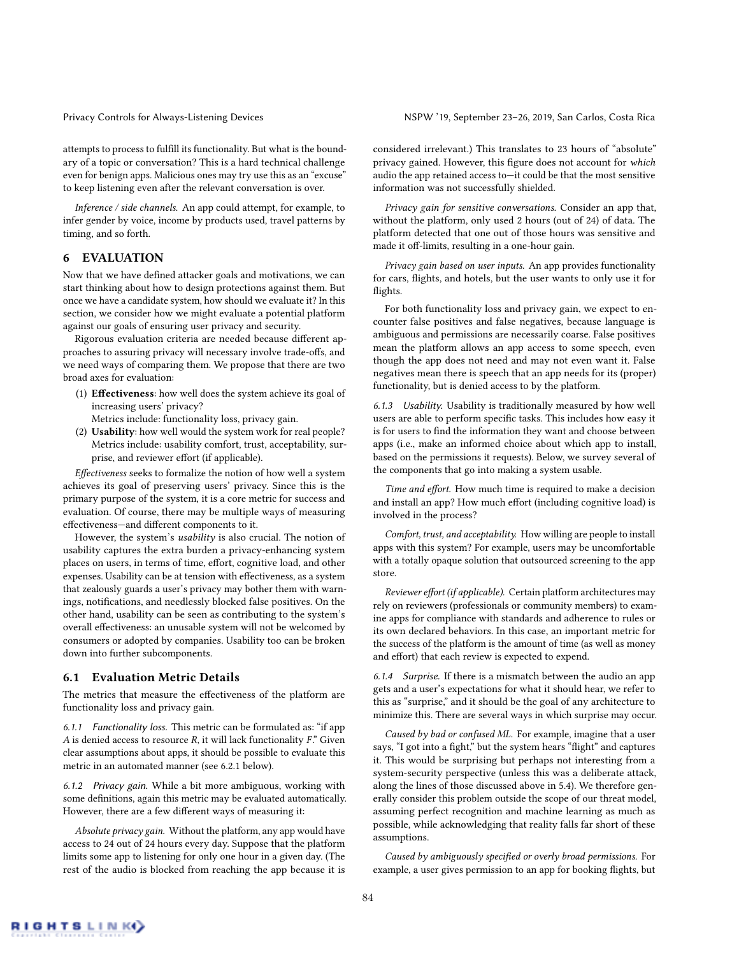attempts to process to fulfill its functionality. But what is the boundary of a topic or conversation? This is a hard technical challenge even for benign apps. Malicious ones may try use this as an "excuse" to keep listening even after the relevant conversation is over.

*Inference / side channels.* An app could attempt, for example, to infer gender by voice, income by products used, travel patterns by timing, and so forth.

# 6 EVALUATION

Now that we have defined attacker goals and motivations, we can start thinking about how to design protections against them. But once we have a candidate system, how should we evaluate it? In this section, we consider how we might evaluate a potential platform against our goals of ensuring user privacy and security.

Rigorous evaluation criteria are needed because different approaches to assuring privacy will necessary involve trade-offs, and we need ways of comparing them. We propose that there are two broad axes for evaluation:

- (1) Effectiveness: how well does the system achieve its goal of increasing users' privacy?
	- Metrics include: functionality loss, privacy gain.
- (2) Usability: how well would the system work for real people? Metrics include: usability comfort, trust, acceptability, surprise, and reviewer effort (if applicable).

*E*"*ectiveness* seeks to formalize the notion of how well a system achieves its goal of preserving users' privacy. Since this is the primary purpose of the system, it is a core metric for success and evaluation. Of course, there may be multiple ways of measuring effectiveness-and different components to it.

However, the system's *usability* is also crucial. The notion of usability captures the extra burden a privacy-enhancing system places on users, in terms of time, effort, cognitive load, and other expenses. Usability can be at tension with effectiveness, as a system that zealously guards a user's privacy may bother them with warnings, notifications, and needlessly blocked false positives. On the other hand, usability can be seen as contributing to the system's overall effectiveness: an unusable system will not be welcomed by consumers or adopted by companies. Usability too can be broken down into further subcomponents.

#### 6.1 Evaluation Metric Details

The metrics that measure the effectiveness of the platform are functionality loss and privacy gain.

*6.1.1 Functionality loss.* This metric can be formulated as: "if app *A* is denied access to resource *R*, it will lack functionality  $F$ . Given clear assumptions about apps, it should be possible to evaluate this metric in an automated manner (see 6.2.1 below).

*6.1.2 Privacy gain.* While a bit more ambiguous, working with some definitions, again this metric may be evaluated automatically. However, there are a few different ways of measuring it:

*Absolute privacy gain.* Without the platform, any app would have access to 24 out of 24 hours every day. Suppose that the platform limits some app to listening for only one hour in a given day. (The rest of the audio is blocked from reaching the app because it is

considered irrelevant.) This translates to 23 hours of "absolute" privacy gained. However, this figure does not account for *which* audio the app retained access to—it could be that the most sensitive information was not successfully shielded.

*Privacy gain for sensitive conversations.* Consider an app that, without the platform, only used 2 hours (out of 24) of data. The platform detected that one out of those hours was sensitive and made it off-limits, resulting in a one-hour gain.

*Privacy gain based on user inputs.* An app provides functionality for cars, flights, and hotels, but the user wants to only use it for flights.

For both functionality loss and privacy gain, we expect to encounter false positives and false negatives, because language is ambiguous and permissions are necessarily coarse. False positives mean the platform allows an app access to some speech, even though the app does not need and may not even want it. False negatives mean there is speech that an app needs for its (proper) functionality, but is denied access to by the platform.

*6.1.3 Usability.* Usability is traditionally measured by how well users are able to perform specific tasks. This includes how easy it is for users to find the information they want and choose between apps (i.e., make an informed choice about which app to install, based on the permissions it requests). Below, we survey several of the components that go into making a system usable.

Time and effort. How much time is required to make a decision and install an app? How much effort (including cognitive load) is involved in the process?

*Comfort, trust, and acceptability.* How willing are people to install apps with this system? For example, users may be uncomfortable with a totally opaque solution that outsourced screening to the app store.

*Reviewer effort (if applicable).* Certain platform architectures may rely on reviewers (professionals or community members) to examine apps for compliance with standards and adherence to rules or its own declared behaviors. In this case, an important metric for the success of the platform is the amount of time (as well as money and effort) that each review is expected to expend.

*6.1.4 Surprise.* If there is a mismatch between the audio an app gets and a user's expectations for what it should hear, we refer to this as "surprise," and it should be the goal of any architecture to minimize this. There are several ways in which surprise may occur.

*Caused by bad or confused ML.* For example, imagine that a user says, "I got into a fight," but the system hears "flight" and captures it. This would be surprising but perhaps not interesting from a system-security perspective (unless this was a deliberate attack, along the lines of those discussed above in 5.4). We therefore generally consider this problem outside the scope of our threat model, assuming perfect recognition and machine learning as much as possible, while acknowledging that reality falls far short of these assumptions.

*Caused by ambiguously specified or overly broad permissions.* For example, a user gives permission to an app for booking flights, but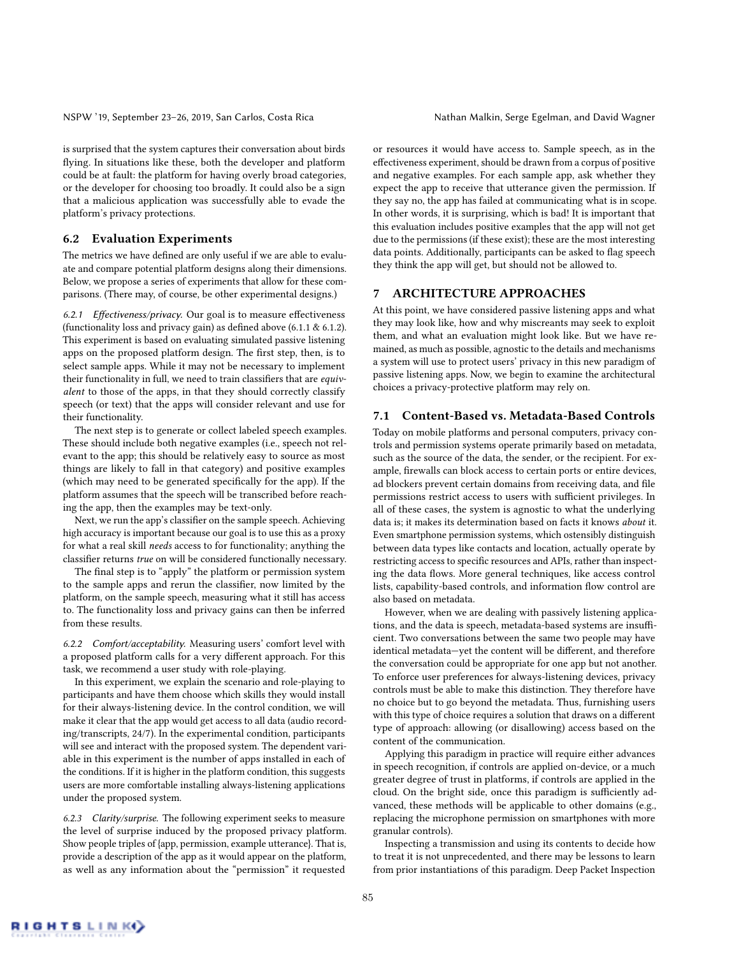is surprised that the system captures their conversation about birds flying. In situations like these, both the developer and platform could be at fault: the platform for having overly broad categories, or the developer for choosing too broadly. It could also be a sign that a malicious application was successfully able to evade the platform's privacy protections.

#### 6.2 Evaluation Experiments

The metrics we have defined are only useful if we are able to evaluate and compare potential platform designs along their dimensions. Below, we propose a series of experiments that allow for these comparisons. (There may, of course, be other experimental designs.)

6.2.1 *Effectiveness/privacy*. Our goal is to measure effectiveness (functionality loss and privacy gain) as defined above  $(6.1.1 \& 6.1.2)$ . This experiment is based on evaluating simulated passive listening apps on the proposed platform design. The first step, then, is to select sample apps. While it may not be necessary to implement their functionality in full, we need to train classifiers that are *equivalent* to those of the apps, in that they should correctly classify speech (or text) that the apps will consider relevant and use for their functionality.

The next step is to generate or collect labeled speech examples. These should include both negative examples (i.e., speech not relevant to the app; this should be relatively easy to source as most things are likely to fall in that category) and positive examples (which may need to be generated specifically for the app). If the platform assumes that the speech will be transcribed before reaching the app, then the examples may be text-only.

Next, we run the app's classifier on the sample speech. Achieving high accuracy is important because our goal is to use this as a proxy for what a real skill *needs* access to for functionality; anything the classifier returns *true* on will be considered functionally necessary.

The final step is to "apply" the platform or permission system to the sample apps and rerun the classifier, now limited by the platform, on the sample speech, measuring what it still has access to. The functionality loss and privacy gains can then be inferred from these results.

*6.2.2 Comfort/acceptability.* Measuring users' comfort level with a proposed platform calls for a very different approach. For this task, we recommend a user study with role-playing.

In this experiment, we explain the scenario and role-playing to participants and have them choose which skills they would install for their always-listening device. In the control condition, we will make it clear that the app would get access to all data (audio recording/transcripts, 24/7). In the experimental condition, participants will see and interact with the proposed system. The dependent variable in this experiment is the number of apps installed in each of the conditions. If it is higher in the platform condition, this suggests users are more comfortable installing always-listening applications under the proposed system.

*6.2.3 Clarity/surprise.* The following experiment seeks to measure the level of surprise induced by the proposed privacy platform. Show people triples of {app, permission, example utterance}. That is, provide a description of the app as it would appear on the platform, as well as any information about the "permission" it requested

or resources it would have access to. Sample speech, as in the effectiveness experiment, should be drawn from a corpus of positive and negative examples. For each sample app, ask whether they expect the app to receive that utterance given the permission. If they say no, the app has failed at communicating what is in scope. In other words, it is surprising, which is bad! It is important that this evaluation includes positive examples that the app will not get due to the permissions (if these exist); these are the most interesting data points. Additionally, participants can be asked to flag speech they think the app will get, but should not be allowed to.

# 7 ARCHITECTURE APPROACHES

At this point, we have considered passive listening apps and what they may look like, how and why miscreants may seek to exploit them, and what an evaluation might look like. But we have remained, as much as possible, agnostic to the details and mechanisms a system will use to protect users' privacy in this new paradigm of passive listening apps. Now, we begin to examine the architectural choices a privacy-protective platform may rely on.

#### 7.1 Content-Based vs. Metadata-Based Controls

Today on mobile platforms and personal computers, privacy controls and permission systems operate primarily based on metadata, such as the source of the data, the sender, or the recipient. For example, firewalls can block access to certain ports or entire devices, ad blockers prevent certain domains from receiving data, and file permissions restrict access to users with sufficient privileges. In all of these cases, the system is agnostic to what the underlying data is; it makes its determination based on facts it knows *about* it. Even smartphone permission systems, which ostensibly distinguish between data types like contacts and location, actually operate by restricting access to specific resources and APIs, rather than inspecting the data flows. More general techniques, like access control lists, capability-based controls, and information flow control are also based on metadata.

However, when we are dealing with passively listening applications, and the data is speech, metadata-based systems are insufficient. Two conversations between the same two people may have identical metadata-yet the content will be different, and therefore the conversation could be appropriate for one app but not another. To enforce user preferences for always-listening devices, privacy controls must be able to make this distinction. They therefore have no choice but to go beyond the metadata. Thus, furnishing users with this type of choice requires a solution that draws on a different type of approach: allowing (or disallowing) access based on the content of the communication.

Applying this paradigm in practice will require either advances in speech recognition, if controls are applied on-device, or a much greater degree of trust in platforms, if controls are applied in the cloud. On the bright side, once this paradigm is sufficiently advanced, these methods will be applicable to other domains (e.g., replacing the microphone permission on smartphones with more granular controls).

Inspecting a transmission and using its contents to decide how to treat it is not unprecedented, and there may be lessons to learn from prior instantiations of this paradigm. Deep Packet Inspection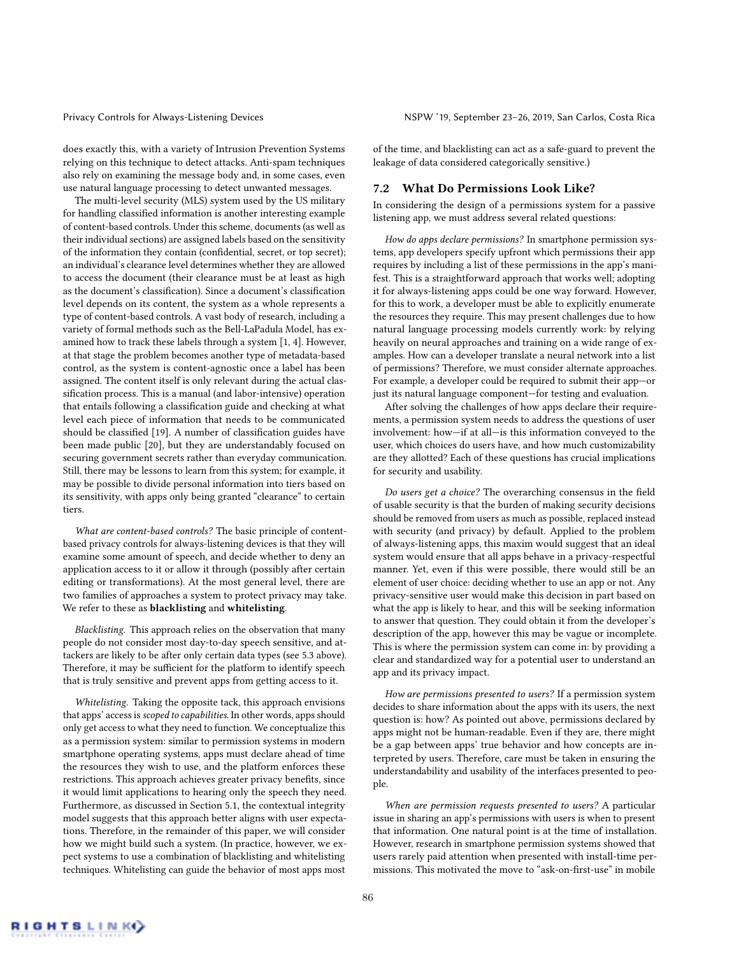does exactly this, with a variety of Intrusion Prevention Systems relying on this technique to detect attacks. Anti-spam techniques also rely on examining the message body and, in some cases, even use natural language processing to detect unwanted messages.

The multi-level security (MLS) system used by the US military for handling classified information is another interesting example of content-based controls. Under this scheme, documents (as well as their individual sections) are assigned labels based on the sensitivity of the information they contain (confidential, secret, or top secret); an individual's clearance level determines whether they are allowed to access the document (their clearance must be at least as high as the document's classification). Since a document's classification level depends on its content, the system as a whole represents a type of content-based controls. A vast body of research, including a variety of formal methods such as the Bell-LaPadula Model, has examined how to track these labels through a system [1, 4]. However, at that stage the problem becomes another type of metadata-based control, as the system is content-agnostic once a label has been assigned. The content itself is only relevant during the actual classification process. This is a manual (and labor-intensive) operation that entails following a classification guide and checking at what level each piece of information that needs to be communicated should be classified [19]. A number of classification guides have been made public [20], but they are understandably focused on securing government secrets rather than everyday communication. Still, there may be lessons to learn from this system; for example, it may be possible to divide personal information into tiers based on its sensitivity, with apps only being granted "clearance" to certain tiers.

*What are content-based controls?* The basic principle of contentbased privacy controls for always-listening devices is that they will examine some amount of speech, and decide whether to deny an application access to it or allow it through (possibly after certain editing or transformations). At the most general level, there are two families of approaches a system to protect privacy may take. We refer to these as blacklisting and whitelisting.

*Blacklisting.* This approach relies on the observation that many people do not consider most day-to-day speech sensitive, and attackers are likely to be after only certain data types (see 5.3 above). Therefore, it may be sufficient for the platform to identify speech that is truly sensitive and prevent apps from getting access to it.

*Whitelisting.* Taking the opposite tack, this approach envisions that apps' access is*scoped to capabilities*. In other words, apps should only get access to what they need to function. We conceptualize this as a permission system: similar to permission systems in modern smartphone operating systems, apps must declare ahead of time the resources they wish to use, and the platform enforces these restrictions. This approach achieves greater privacy benefits, since it would limit applications to hearing only the speech they need. Furthermore, as discussed in Section 5.1, the contextual integrity model suggests that this approach better aligns with user expectations. Therefore, in the remainder of this paper, we will consider how we might build such a system. (In practice, however, we expect systems to use a combination of blacklisting and whitelisting techniques. Whitelisting can guide the behavior of most apps most

of the time, and blacklisting can act as a safe-guard to prevent the leakage of data considered categorically sensitive.)

#### 7.2 What Do Permissions Look Like?

In considering the design of a permissions system for a passive listening app, we must address several related questions:

*How do apps declare permissions?* In smartphone permission systems, app developers specify upfront which permissions their app requires by including a list of these permissions in the app's manifest. This is a straightforward approach that works well; adopting it for always-listening apps could be one way forward. However, for this to work, a developer must be able to explicitly enumerate the resources they require. This may present challenges due to how natural language processing models currently work: by relying heavily on neural approaches and training on a wide range of examples. How can a developer translate a neural network into a list of permissions? Therefore, we must consider alternate approaches. For example, a developer could be required to submit their app—or just its natural language component—for testing and evaluation.

After solving the challenges of how apps declare their requirements, a permission system needs to address the questions of user involvement: how—if at all—is this information conveyed to the user, which choices do users have, and how much customizability are they allotted? Each of these questions has crucial implications for security and usability.

*Do users get a choice?* The overarching consensus in the field of usable security is that the burden of making security decisions should be removed from users as much as possible, replaced instead with security (and privacy) by default. Applied to the problem of always-listening apps, this maxim would suggest that an ideal system would ensure that all apps behave in a privacy-respectful manner. Yet, even if this were possible, there would still be an element of user choice: deciding whether to use an app or not. Any privacy-sensitive user would make this decision in part based on what the app is likely to hear, and this will be seeking information to answer that question. They could obtain it from the developer's description of the app, however this may be vague or incomplete. This is where the permission system can come in: by providing a clear and standardized way for a potential user to understand an app and its privacy impact.

*How are permissions presented to users?* If a permission system decides to share information about the apps with its users, the next question is: how? As pointed out above, permissions declared by apps might not be human-readable. Even if they are, there might be a gap between apps' true behavior and how concepts are interpreted by users. Therefore, care must be taken in ensuring the understandability and usability of the interfaces presented to people.

*When are permission requests presented to users?* A particular issue in sharing an app's permissions with users is when to present that information. One natural point is at the time of installation. However, research in smartphone permission systems showed that users rarely paid attention when presented with install-time permissions. This motivated the move to "ask-on-first-use" in mobile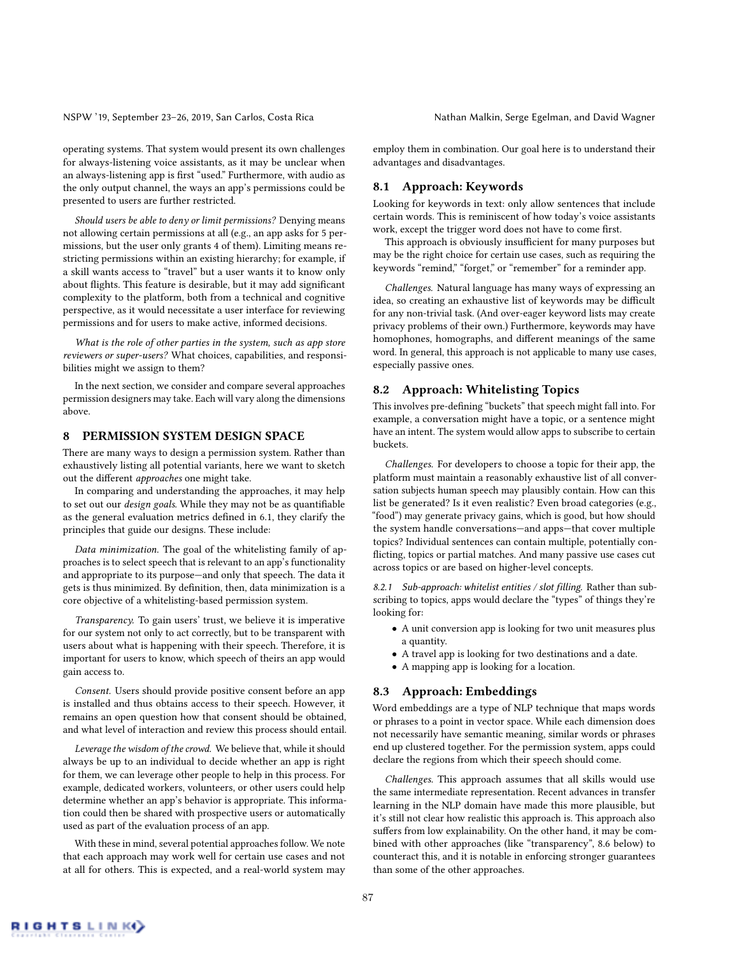operating systems. That system would present its own challenges for always-listening voice assistants, as it may be unclear when an always-listening app is first "used." Furthermore, with audio as the only output channel, the ways an app's permissions could be presented to users are further restricted.

*Should users be able to deny or limit permissions?* Denying means not allowing certain permissions at all (e.g., an app asks for 5 permissions, but the user only grants 4 of them). Limiting means restricting permissions within an existing hierarchy; for example, if a skill wants access to "travel" but a user wants it to know only about flights. This feature is desirable, but it may add significant complexity to the platform, both from a technical and cognitive perspective, as it would necessitate a user interface for reviewing permissions and for users to make active, informed decisions.

*What is the role of other parties in the system, such as app store reviewers or super-users?* What choices, capabilities, and responsibilities might we assign to them?

In the next section, we consider and compare several approaches permission designers may take. Each will vary along the dimensions above.

## 8 PERMISSION SYSTEM DESIGN SPACE

There are many ways to design a permission system. Rather than exhaustively listing all potential variants, here we want to sketch out the different *approaches* one might take.

In comparing and understanding the approaches, it may help to set out our *design goals*. While they may not be as quantifiable as the general evaluation metrics defined in 6.1, they clarify the principles that guide our designs. These include:

*Data minimization.* The goal of the whitelisting family of approaches is to select speech that is relevant to an app's functionality and appropriate to its purpose—and only that speech. The data it gets is thus minimized. By definition, then, data minimization is a core objective of a whitelisting-based permission system.

*Transparency.* To gain users' trust, we believe it is imperative for our system not only to act correctly, but to be transparent with users about what is happening with their speech. Therefore, it is important for users to know, which speech of theirs an app would gain access to.

*Consent.* Users should provide positive consent before an app is installed and thus obtains access to their speech. However, it remains an open question how that consent should be obtained, and what level of interaction and review this process should entail.

*Leverage the wisdom of the crowd.* We believe that, while it should always be up to an individual to decide whether an app is right for them, we can leverage other people to help in this process. For example, dedicated workers, volunteers, or other users could help determine whether an app's behavior is appropriate. This information could then be shared with prospective users or automatically used as part of the evaluation process of an app.

With these in mind, several potential approaches follow. We note that each approach may work well for certain use cases and not at all for others. This is expected, and a real-world system may employ them in combination. Our goal here is to understand their advantages and disadvantages.

#### 8.1 Approach: Keywords

Looking for keywords in text: only allow sentences that include certain words. This is reminiscent of how today's voice assistants work, except the trigger word does not have to come first.

This approach is obviously insufficient for many purposes but may be the right choice for certain use cases, such as requiring the keywords "remind," "forget," or "remember" for a reminder app.

*Challenges.* Natural language has many ways of expressing an idea, so creating an exhaustive list of keywords may be difficult for any non-trivial task. (And over-eager keyword lists may create privacy problems of their own.) Furthermore, keywords may have homophones, homographs, and different meanings of the same word. In general, this approach is not applicable to many use cases, especially passive ones.

#### 8.2 Approach: Whitelisting Topics

This involves pre-defining "buckets" that speech might fall into. For example, a conversation might have a topic, or a sentence might have an intent. The system would allow apps to subscribe to certain buckets.

*Challenges.* For developers to choose a topic for their app, the platform must maintain a reasonably exhaustive list of all conversation subjects human speech may plausibly contain. How can this list be generated? Is it even realistic? Even broad categories (e.g., "food") may generate privacy gains, which is good, but how should the system handle conversations—and apps—that cover multiple topics? Individual sentences can contain multiple, potentially con flicting, topics or partial matches. And many passive use cases cut across topics or are based on higher-level concepts.

*8.2.1 Sub-approach: whitelist entities / slot filling.* Rather than subscribing to topics, apps would declare the "types" of things they're looking for:

- A unit conversion app is looking for two unit measures plus a quantity.
- A travel app is looking for two destinations and a date.
- A mapping app is looking for a location.

#### 8.3 Approach: Embeddings

Word embeddings are a type of NLP technique that maps words or phrases to a point in vector space. While each dimension does not necessarily have semantic meaning, similar words or phrases end up clustered together. For the permission system, apps could declare the regions from which their speech should come.

*Challenges.* This approach assumes that all skills would use the same intermediate representation. Recent advances in transfer learning in the NLP domain have made this more plausible, but it's still not clear how realistic this approach is. This approach also suffers from low explainability. On the other hand, it may be combined with other approaches (like "transparency", 8.6 below) to counteract this, and it is notable in enforcing stronger guarantees than some of the other approaches.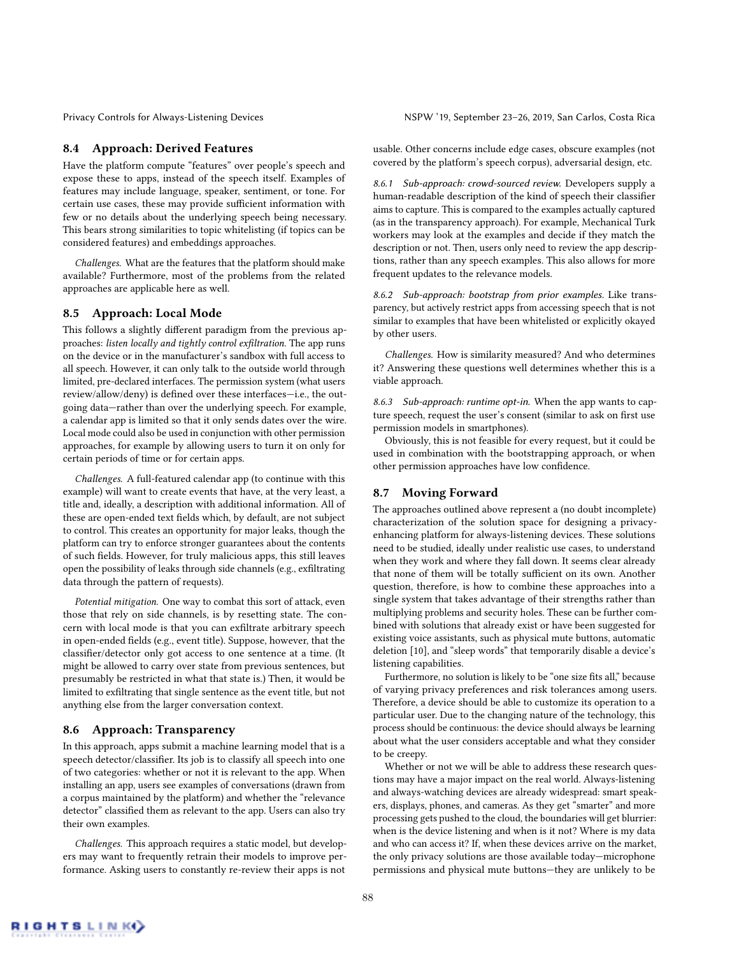#### 8.4 Approach: Derived Features

Have the platform compute "features" over people's speech and expose these to apps, instead of the speech itself. Examples of features may include language, speaker, sentiment, or tone. For certain use cases, these may provide sufficient information with few or no details about the underlying speech being necessary. This bears strong similarities to topic whitelisting (if topics can be considered features) and embeddings approaches.

*Challenges.* What are the features that the platform should make available? Furthermore, most of the problems from the related approaches are applicable here as well.

#### 8.5 Approach: Local Mode

This follows a slightly different paradigm from the previous approaches: *listen locally and tightly control exfiltration*. The app runs on the device or in the manufacturer's sandbox with full access to all speech. However, it can only talk to the outside world through limited, pre-declared interfaces. The permission system (what users review/allow/deny) is defined over these interfaces-i.e., the outgoing data—rather than over the underlying speech. For example, a calendar app is limited so that it only sends dates over the wire. Local mode could also be used in conjunction with other permission approaches, for example by allowing users to turn it on only for certain periods of time or for certain apps.

*Challenges.* A full-featured calendar app (to continue with this example) will want to create events that have, at the very least, a title and, ideally, a description with additional information. All of these are open-ended text fields which, by default, are not subject to control. This creates an opportunity for major leaks, though the platform can try to enforce stronger guarantees about the contents of such fields. However, for truly malicious apps, this still leaves open the possibility of leaks through side channels (e.g., exfiltrating data through the pattern of requests).

*Potential mitigation.* One way to combat this sort of attack, even those that rely on side channels, is by resetting state. The concern with local mode is that you can exfiltrate arbitrary speech in open-ended fields (e.g., event title). Suppose, however, that the classifier/detector only got access to one sentence at a time. (It might be allowed to carry over state from previous sentences, but presumably be restricted in what that state is.) Then, it would be limited to exfiltrating that single sentence as the event title, but not anything else from the larger conversation context.

#### 8.6 Approach: Transparency

In this approach, apps submit a machine learning model that is a speech detector/classifier. Its job is to classify all speech into one of two categories: whether or not it is relevant to the app. When installing an app, users see examples of conversations (drawn from a corpus maintained by the platform) and whether the "relevance detector" classified them as relevant to the app. Users can also try their own examples.

*Challenges.* This approach requires a static model, but developers may want to frequently retrain their models to improve performance. Asking users to constantly re-review their apps is not

Privacy Controls for Always-Listening Devices NSPW '19, September 23-26, 2019, San Carlos, Costa Rica

usable. Other concerns include edge cases, obscure examples (not covered by the platform's speech corpus), adversarial design, etc.

*8.6.1 Sub-approach: crowd-sourced review.* Developers supply a human-readable description of the kind of speech their classifier aims to capture. This is compared to the examples actually captured (as in the transparency approach). For example, Mechanical Turk workers may look at the examples and decide if they match the description or not. Then, users only need to review the app descriptions, rather than any speech examples. This also allows for more frequent updates to the relevance models.

*8.6.2 Sub-approach: bootstrap from prior examples.* Like transparency, but actively restrict apps from accessing speech that is not similar to examples that have been whitelisted or explicitly okayed by other users.

*Challenges.* How is similarity measured? And who determines it? Answering these questions well determines whether this is a viable approach.

*8.6.3 Sub-approach: runtime opt-in.* When the app wants to capture speech, request the user's consent (similar to ask on first use permission models in smartphones).

Obviously, this is not feasible for every request, but it could be used in combination with the bootstrapping approach, or when other permission approaches have low confidence.

#### 8.7 Moving Forward

The approaches outlined above represent a (no doubt incomplete) characterization of the solution space for designing a privacyenhancing platform for always-listening devices. These solutions need to be studied, ideally under realistic use cases, to understand when they work and where they fall down. It seems clear already that none of them will be totally sufficient on its own. Another question, therefore, is how to combine these approaches into a single system that takes advantage of their strengths rather than multiplying problems and security holes. These can be further combined with solutions that already exist or have been suggested for existing voice assistants, such as physical mute buttons, automatic deletion [10], and "sleep words" that temporarily disable a device's listening capabilities.

Furthermore, no solution is likely to be "one size fits all," because of varying privacy preferences and risk tolerances among users. Therefore, a device should be able to customize its operation to a particular user. Due to the changing nature of the technology, this process should be continuous: the device should always be learning about what the user considers acceptable and what they consider to be creepy.

Whether or not we will be able to address these research questions may have a major impact on the real world. Always-listening and always-watching devices are already widespread: smart speakers, displays, phones, and cameras. As they get "smarter" and more processing gets pushed to the cloud, the boundaries will get blurrier: when is the device listening and when is it not? Where is my data and who can access it? If, when these devices arrive on the market, the only privacy solutions are those available today—microphone permissions and physical mute buttons—they are unlikely to be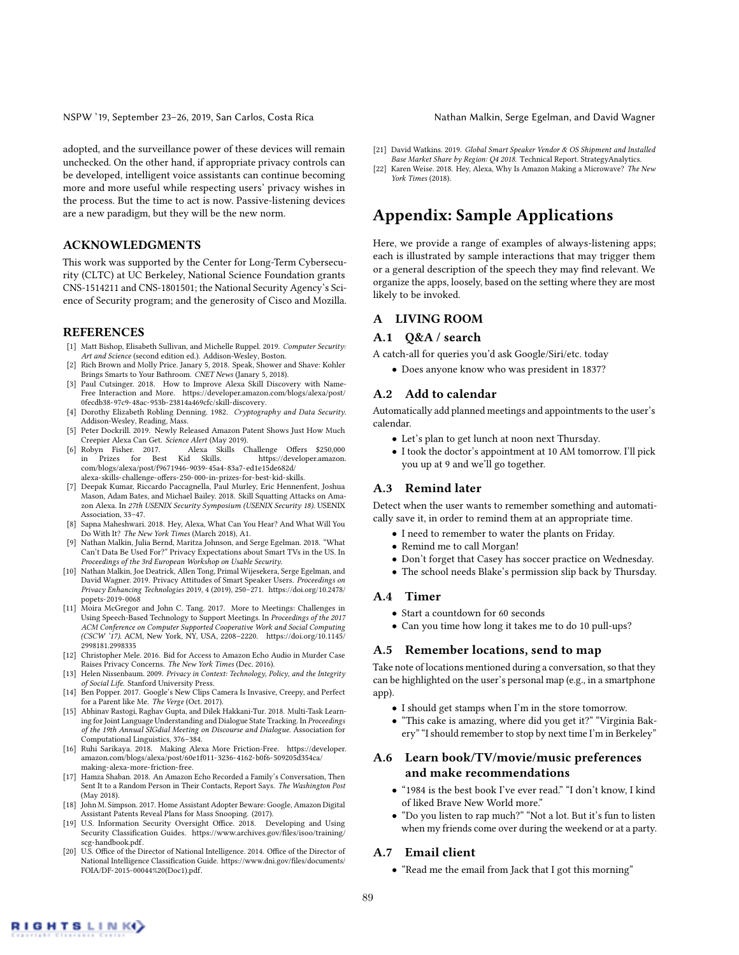adopted, and the surveillance power of these devices will remain unchecked. On the other hand, if appropriate privacy controls can be developed, intelligent voice assistants can continue becoming more and more useful while respecting users' privacy wishes in the process. But the time to act is now. Passive-listening devices are a new paradigm, but they will be the new norm.

# ACKNOWLEDGMENTS

This work was supported by the Center for Long-Term Cybersecurity (CLTC) at UC Berkeley, National Science Foundation grants CNS-1514211 and CNS-1801501; the National Security Agency's Science of Security program; and the generosity of Cisco and Mozilla.

#### REFERENCES

- [1] Matt Bishop, Elisabeth Sullivan, and Michelle Ruppel. 2019. *Computer Security: Art and Science* (second edition ed.). Addison-Wesley, Boston.
- [2] Rich Brown and Molly Price. Janary 5, 2018. Speak, Shower and Shave: Kohler Brings Smarts to Your Bathroom. *CNET News* (Janary 5, 2018).
- [3] Paul Cutsinger. 2018. How to Improve Alexa Skill Discovery with Name-Free Interaction and More. https://developer.amazon.com/blogs/alexa/post/ 0fecdb38-97c9-48ac-953b-23814a469cfc/skill-discovery.
- [4] Dorothy Elizabeth Robling Denning. 1982. *Cryptography and Data Security*. Addison-Wesley, Reading, Mass.
- [5] Peter Dockrill. 2019. Newly Released Amazon Patent Shows Just How Much Creepier Alexa Can Get. *Science Alert* (May 2019).
- Robyn Fisher. 2017. Alexa Skills Challenge Offers \$250,000 in Prizes for Best Kid Skills. https://developer.amazon. https://developer.amazon. com/blogs/alexa/post/f9671946-9039-45a4-83a7-ed1e15de682d/ alexa-skills-challenge-offers-250-000-in-prizes-for-best-kid-skills.
- [7] Deepak Kumar, Riccardo Paccagnella, Paul Murley, Eric Hennenfent, Joshua Mason, Adam Bates, and Michael Bailey. 2018. Skill Squatting Attacks on Amazon Alexa. In *27th USENIX Security Symposium (USENIX Security 18)*. USENIX Association, 33–47.
- [8] Sapna Maheshwari. 2018. Hey, Alexa, What Can You Hear? And What Will You Do With It? *The New York Times* (March 2018), A1.
- [9] Nathan Malkin, Julia Bernd, Maritza Johnson, and Serge Egelman. 2018. "What Can't Data Be Used For?" Privacy Expectations about Smart TVs in the US. In *Proceedings of the 3rd European Workshop on Usable Security*.
- [10] Nathan Malkin, Joe Deatrick, Allen Tong, Primal Wijesekera, Serge Egelman, and David Wagner. 2019. Privacy Attitudes of Smart Speaker Users. *Proceedings on Privacy Enhancing Technologies* 2019, 4 (2019), 250–271. https://doi.org/10.2478/ popets-2019-0068
- [11] Moira McGregor and John C. Tang. 2017. More to Meetings: Challenges in Using Speech-Based Technology to Support Meetings. In *Proceedings of the 2017 ACM Conference on Computer Supported Cooperative Work and Social Computing (CSCW '17)*. ACM, New York, NY, USA, 2208–2220. https://doi.org/10.1145/ 2998181.2998335
- [12] Christopher Mele. 2016. Bid for Access to Amazon Echo Audio in Murder Case Raises Privacy Concerns. *The New York Times* (Dec. 2016).
- [13] Helen Nissenbaum. 2009. *Privacy in Context: Technology, Policy, and the Integrity of Social Life*. Stanford University Press.
- [14] Ben Popper. 2017. Google's New Clips Camera Is Invasive, Creepy, and Perfect for a Parent like Me. *The Verge* (Oct. 2017).
- [15] Abhinav Rastogi, Raghav Gupta, and Dilek Hakkani-Tur. 2018. Multi-Task Learning for Joint Language Understanding and Dialogue State Tracking. In *Proceedings of the 19th Annual SIGdial Meeting on Discourse and Dialogue*. Association for Computational Linguistics, 376–384.
- [16] Ruhi Sarikaya. 2018. Making Alexa More Friction-Free. https://developer. amazon.com/blogs/alexa/post/60e1f011-3236-4162-b0f6-509205d354ca/ making-alexa-more-friction-free.
- [17] Hamza Shaban. 2018. An Amazon Echo Recorded a Family's Conversation, Then Sent It to a Random Person in Their Contacts, Report Says. *The Washington Post* (May 2018).
- [18] John M. Simpson. 2017. Home Assistant Adopter Beware: Google, Amazon Digital Assistant Patents Reveal Plans for Mass Snooping. (2017).
- [19] U.S. Information Security Oversight Office. 2018. Developing and Using Security Classification Guides. https://www.archives.gov/files/isoo/training, scg-handbook.pdf.
- [20] U.S. Office of the Director of National Intelligence. 2014. Office of the Director of National Intelligence Classification Guide. https://www.dni.gov/files/documents/ FOIA/DF-2015-00044%20(Doc1).pdf.
- [21] David Watkins. 2019. *Global Smart Speaker Vendor & OS Shipment and Installed Base Market Share by Region: Q4 2018*. Technical Report. StrategyAnalytics.
- [22] Karen Weise. 2018. Hey, Alexa, Why Is Amazon Making a Microwave? *The New York Times* (2018).

# Appendix: Sample Applications

Here, we provide a range of examples of always-listening apps; each is illustrated by sample interactions that may trigger them or a general description of the speech they may find relevant. We organize the apps, loosely, based on the setting where they are most likely to be invoked.

#### A LIVING ROOM

#### A.1 Q&A / search

- A catch-all for queries you'd ask Google/Siri/etc. today
	- Does anyone know who was president in 1837?

#### A.2 Add to calendar

Automatically add planned meetings and appointments to the user's calendar.

- Let's plan to get lunch at noon next Thursday.
- I took the doctor's appointment at 10 AM tomorrow. I'll pick you up at 9 and we'll go together.

#### A.3 Remind later

Detect when the user wants to remember something and automatically save it, in order to remind them at an appropriate time.

- I need to remember to water the plants on Friday.
- Remind me to call Morgan!
- Don't forget that Casey has soccer practice on Wednesday.
- The school needs Blake's permission slip back by Thursday.

#### A.4 Timer

- Start a countdown for 60 seconds
- Can you time how long it takes me to do 10 pull-ups?

#### A.5 Remember locations, send to map

Take note of locations mentioned during a conversation, so that they can be highlighted on the user's personal map (e.g., in a smartphone app).

- I should get stamps when I'm in the store tomorrow.
- "This cake is amazing, where did you get it?" "Virginia Bakery" "I should remember to stop by next time I'm in Berkeley"

### A.6 Learn book/TV/movie/music preferences and make recommendations

- "1984 is the best book I've ever read." "I don't know, I kind of liked Brave New World more."
- "Do you listen to rap much?" "Not a lot. But it's fun to listen when my friends come over during the weekend or at a party.

#### A.7 Email client

• "Read me the email from Jack that I got this morning"

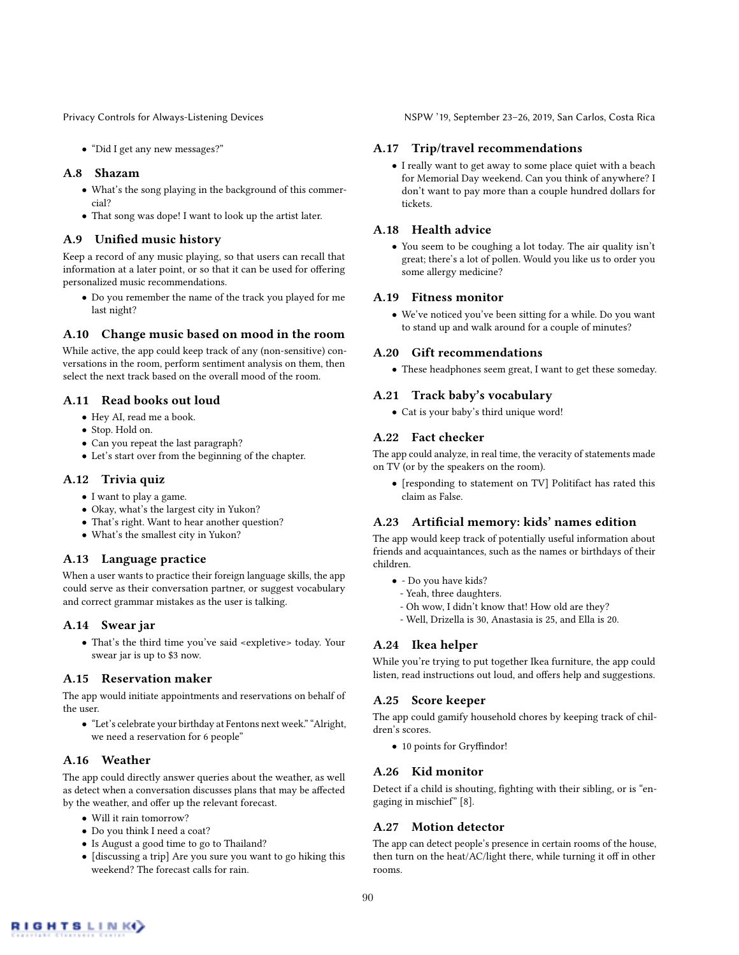• "Did I get any new messages?"

### A.8 Shazam

- What's the song playing in the background of this commercial?
- That song was dope! I want to look up the artist later.

#### A.9 Unified music history

Keep a record of any music playing, so that users can recall that information at a later point, or so that it can be used for offering personalized music recommendations.

• Do you remember the name of the track you played for me last night?

### A.10 Change music based on mood in the room

While active, the app could keep track of any (non-sensitive) conversations in the room, perform sentiment analysis on them, then select the next track based on the overall mood of the room.

### A.11 Read books out loud

- Hey AI, read me a book.
- Stop. Hold on.
- Can you repeat the last paragraph?
- Let's start over from the beginning of the chapter.

#### A.12 Trivia quiz

- I want to play a game.
- Okay, what's the largest city in Yukon?
- That's right. Want to hear another question?
- What's the smallest city in Yukon?

#### A.13 Language practice

When a user wants to practice their foreign language skills, the app could serve as their conversation partner, or suggest vocabulary and correct grammar mistakes as the user is talking.

#### A.14 Swear jar

• That's the third time you've said <expletive> today. Your swear jar is up to \$3 now.

#### A.15 Reservation maker

The app would initiate appointments and reservations on behalf of the user.

• "Let's celebrate your birthday at Fentons next week." "Alright, we need a reservation for 6 people"

### A.16 Weather

The app could directly answer queries about the weather, as well as detect when a conversation discusses plans that may be affected by the weather, and offer up the relevant forecast.

- Will it rain tomorrow?
- Do you think I need a coat?
- Is August a good time to go to Thailand?
- [discussing a trip] Are you sure you want to go hiking this weekend? The forecast calls for rain.

Privacy Controls for Always-Listening Devices NSPW '19, September 23-26, 2019, San Carlos, Costa Rica

#### A.17 Trip/travel recommendations

• I really want to get away to some place quiet with a beach for Memorial Day weekend. Can you think of anywhere? I don't want to pay more than a couple hundred dollars for tickets.

### A.18 Health advice

• You seem to be coughing a lot today. The air quality isn't great; there's a lot of pollen. Would you like us to order you some allergy medicine?

#### A.19 Fitness monitor

• We've noticed you've been sitting for a while. Do you want to stand up and walk around for a couple of minutes?

#### A.20 Gift recommendations

• These headphones seem great, I want to get these someday.

### A.21 Track baby's vocabulary

• Cat is your baby's third unique word!

#### A.22 Fact checker

The app could analyze, in real time, the veracity of statements made on TV (or by the speakers on the room).

• [responding to statement on TV] Politifact has rated this claim as False.

# A.23 Artificial memory: kids' names edition

The app would keep track of potentially useful information about friends and acquaintances, such as the names or birthdays of their children.

- - Do you have kids?
	- Yeah, three daughters.
	- Oh wow, I didn't know that! How old are they?
- Well, Drizella is 30, Anastasia is 25, and Ella is 20.

### A.24 Ikea helper

While you're trying to put together Ikea furniture, the app could listen, read instructions out loud, and offers help and suggestions.

#### A.25 Score keeper

The app could gamify household chores by keeping track of children's scores.

• 10 points for Gryffindor!

### A.26 Kid monitor

Detect if a child is shouting, fighting with their sibling, or is "engaging in mischief" [8].

### A.27 Motion detector

The app can detect people's presence in certain rooms of the house, then turn on the heat/AC/light there, while turning it off in other rooms.